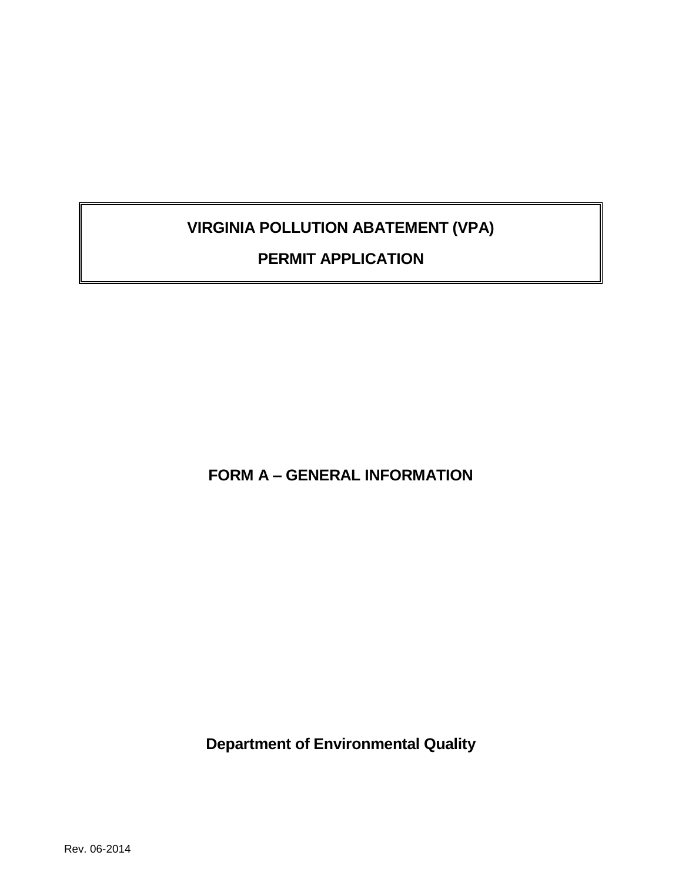# **VIRGINIA POLLUTION ABATEMENT (VPA)**

# **PERMIT APPLICATION**

**FORM A – GENERAL INFORMATION**

**Department of Environmental Quality**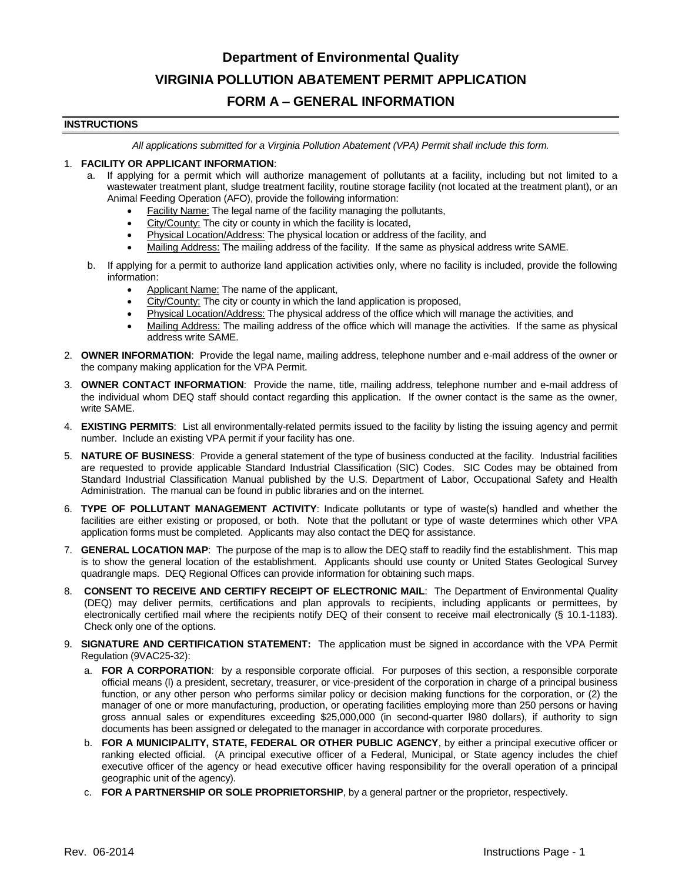# **Department of Environmental Quality VIRGINIA POLLUTION ABATEMENT PERMIT APPLICATION**

## **FORM A – GENERAL INFORMATION**

#### **INSTRUCTIONS**

*All applications submitted for a Virginia Pollution Abatement (VPA) Permit shall include this form.*

#### 1. **FACILITY OR APPLICANT INFORMATION**:

- a. If applying for a permit which will authorize management of pollutants at a facility, including but not limited to a wastewater treatment plant, sludge treatment facility, routine storage facility (not located at the treatment plant), or an Animal Feeding Operation (AFO), provide the following information:
	- Facility Name: The legal name of the facility managing the pollutants,
	- City/County: The city or county in which the facility is located,
	- Physical Location/Address: The physical location or address of the facility, and
	- Mailing Address: The mailing address of the facility. If the same as physical address write SAME.
- b. If applying for a permit to authorize land application activities only, where no facility is included, provide the following information:
	- Applicant Name: The name of the applicant,
	- City/County: The city or county in which the land application is proposed,
	- Physical Location/Address: The physical address of the office which will manage the activities, and
	- Mailing Address: The mailing address of the office which will manage the activities. If the same as physical address write SAME.
- 2. **OWNER INFORMATION**: Provide the legal name, mailing address, telephone number and e-mail address of the owner or the company making application for the VPA Permit.
- 3. **OWNER CONTACT INFORMATION**: Provide the name, title, mailing address, telephone number and e-mail address of the individual whom DEQ staff should contact regarding this application. If the owner contact is the same as the owner, write SAME.
- 4. **EXISTING PERMITS**: List all environmentally-related permits issued to the facility by listing the issuing agency and permit number. Include an existing VPA permit if your facility has one.
- 5. **NATURE OF BUSINESS**: Provide a general statement of the type of business conducted at the facility. Industrial facilities are requested to provide applicable Standard Industrial Classification (SIC) Codes. SIC Codes may be obtained from Standard Industrial Classification Manual published by the U.S. Department of Labor, Occupational Safety and Health Administration. The manual can be found in public libraries and on the internet.
- 6. **TYPE OF POLLUTANT MANAGEMENT ACTIVITY**: Indicate pollutants or type of waste(s) handled and whether the facilities are either existing or proposed, or both. Note that the pollutant or type of waste determines which other VPA application forms must be completed. Applicants may also contact the DEQ for assistance.
- 7. **GENERAL LOCATION MAP**: The purpose of the map is to allow the DEQ staff to readily find the establishment. This map is to show the general location of the establishment. Applicants should use county or United States Geological Survey quadrangle maps. DEQ Regional Offices can provide information for obtaining such maps.
- 8. **CONSENT TO RECEIVE AND CERTIFY RECEIPT OF ELECTRONIC MAIL**: The Department of Environmental Quality (DEQ) may deliver permits, certifications and plan approvals to recipients, including applicants or permittees, by electronically certified mail where the recipients notify DEQ of their consent to receive mail electronically (§ 10.1-1183). Check only one of the options.
- 9. **SIGNATURE AND CERTIFICATION STATEMENT:** The application must be signed in accordance with the VPA Permit Regulation (9VAC25-32):
	- a. **FOR A CORPORATION**: by a responsible corporate official. For purposes of this section, a responsible corporate official means (l) a president, secretary, treasurer, or vice-president of the corporation in charge of a principal business function, or any other person who performs similar policy or decision making functions for the corporation, or (2) the manager of one or more manufacturing, production, or operating facilities employing more than 250 persons or having gross annual sales or expenditures exceeding \$25,000,000 (in second-quarter l980 dollars), if authority to sign documents has been assigned or delegated to the manager in accordance with corporate procedures.
	- b. **FOR A MUNICIPALITY, STATE, FEDERAL OR OTHER PUBLIC AGENCY**, by either a principal executive officer or ranking elected official. (A principal executive officer of a Federal, Municipal, or State agency includes the chief executive officer of the agency or head executive officer having responsibility for the overall operation of a principal geographic unit of the agency).
	- c. **FOR A PARTNERSHIP OR SOLE PROPRIETORSHIP**, by a general partner or the proprietor, respectively.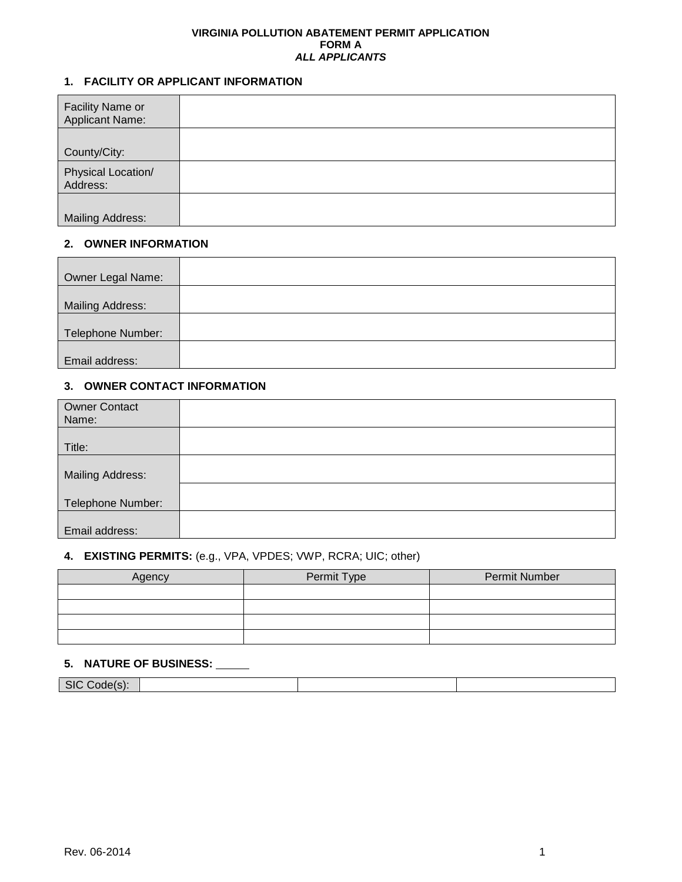#### **VIRGINIA POLLUTION ABATEMENT PERMIT APPLICATION FORM A** *ALL APPLICANTS*

### **1. FACILITY OR APPLICANT INFORMATION**

| Facility Name or<br><b>Applicant Name:</b> |  |
|--------------------------------------------|--|
| County/City:                               |  |
| Physical Location/<br>Address:             |  |
| <b>Mailing Address:</b>                    |  |

#### **2. OWNER INFORMATION**

| Owner Legal Name:       |  |
|-------------------------|--|
|                         |  |
| <b>Mailing Address:</b> |  |
|                         |  |
| Telephone Number:       |  |
|                         |  |
| Email address:          |  |

#### **3. OWNER CONTACT INFORMATION**

| <b>Owner Contact</b><br>Name: |  |
|-------------------------------|--|
|                               |  |
| Title:                        |  |
|                               |  |
| Mailing Address:              |  |
|                               |  |
| Telephone Number:             |  |
|                               |  |
| Email address:                |  |

#### **4. EXISTING PERMITS:** (e.g., VPA, VPDES; VWP, RCRA; UIC; other)

| Agency | Permit Type | Permit Number |  |
|--------|-------------|---------------|--|
|        |             |               |  |
|        |             |               |  |
|        |             |               |  |
|        |             |               |  |

## **5. NATURE OF BUSINESS:**

| SI<br>∶∩∩ല<br>$\sim$ |  |  |
|----------------------|--|--|
|                      |  |  |